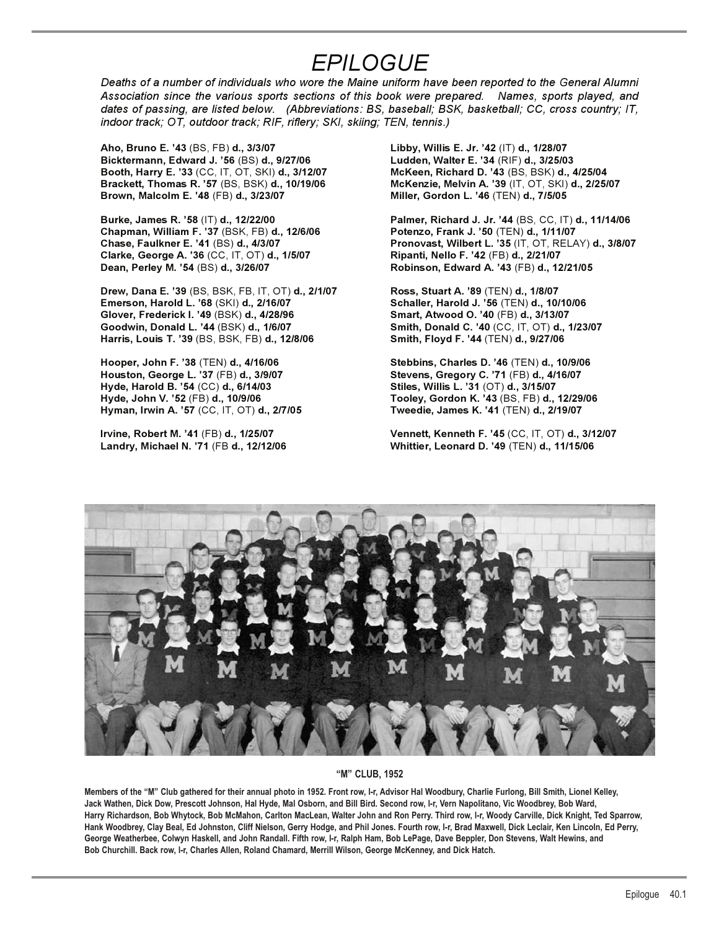## *EPILOGUE*

*Deaths of a number of individuals who wore the Maine uniform have been reported to the General Alumni Association since the various sports sections of this book were prepared. Names, sports played, and dates of passing, are listed below. (Abbreviations: BS, baseball; BSK, basketball; CC, cross country; IT, indoor track; OT, outdoor track; RIF, riflery; SKI, skiing; TEN, tennis.)*

**Aho, Bruno E. '43** (BS, FB) **d., 3/3/07 Libby, Willis E. Jr. '42** (IT) **d., 1/28/07 Bicktermann, Edward J. '56** (BS) **d., 9/27/06 Ludden, Walter E. '34** (RIF) **d., 3/25/03 Booth, Harry E. '33** (CC, IT, OT, SKI) **d., 3/12/07 McKeen, Richard D. '43** (BS, BSK) **d., 4/25/04 Brown, Malcolm E. '48** (FB) **d., 3/23/07 Miller, Gordon L. '46** (TEN) **d., 7/5/05**

**Chapman, William F. '37** (BSK, FB) **d., 12/6/06 Potenzo, Frank J. '50** (TEN) **d., 1/11/07 Clarke, George A. '36** (CC, IT, OT) **d., 1/5/07 Ripanti, Nello F. '42** (FB) **d., 2/21/07 Dean, Perley M. '54** (BS) **d., 3/26/07 Robinson, Edward A. '43** (FB) **d., 12/21/05** 

**Drew, Dana E. '39** (BS, BSK, FB, IT, OT) **d., 2/1/07 Ross, Stuart A. '89** (TEN) **d., 1/8/07 Emerson, Harold L. '68** (SKI) **d., 2/16/07 Schaller, Harold J. '56** (TEN) **d., 10/10/06 Glover, Frederick I. '49** (BSK) **d., 4/28/96 Smart, Atwood O. '40** (FB) **d., 3/13/07 Harris, Louis T. '39** (BS, BSK, FB) **d., 12/8/06 Smith, Floyd F. '44** (TEN) **d., 9/27/06** 

**Hooper, John F. '38** (TEN) **d., 4/16/06 Stebbins, Charles D. '46** (TEN) **d., 10/9/06 Houston, George L. '37** (FB) **d., 3/9/07 Stevens, Gregory C. '71** (FB) **d., 4/16/07 Hyde, Harold B. '54** (CC) **d., 6/14/03 Stiles, Willis L. '31** (OT) **d., 3/15/07 Hyman, Irwin A. '57** (CC, IT, OT) **d., 2/7/05 Tweedie, James K. '41** (TEN) **d., 2/19/07** 

**Brackett, Thomas R. '57** (BS, BSK) **d., 10/19/06 McKenzie, Melvin A. '39** (IT, OT, SKI) **d., 2/25/07** 

**Burke, James R. '58** (IT) **d., 12/22/00 Palmer, Richard J. Jr. '44** (BS, CC, IT) **d., 11/14/06 Chase, Faulkner E. '41** (BS) **d., 4/3/07 Pronovast, Wilbert L. '35** (IT, OT, RELAY) **d., 3/8/07** 

**Goodwin, Donald L. '44** (BSK) **d., 1/6/07 Smith, Donald C. '40** (CC, IT, OT) **d., 1/23/07** 

**Hyde, John V. '52** (FB) **d., 10/9/06 Tooley, Gordon K. '43** (BS, FB) **d., 12/29/06** 

**Irvine, Robert M. '41** (FB) **d., 1/25/07 Vennett, Kenneth F. '45** (CC, IT, OT) **d., 3/12/07 Landry, Michael N. '71** (FB **d., 12/12/06 Whittier, Leonard D. '49** (TEN) **d., 11/15/06** 



## **"M" CLUB, 1952**

**Members of the "M" Club gathered for their annual photo in 1952. Front row, l-r, Advisor Hal Woodbury, Charlie Furlong, Bill Smith, Lionel Kelley, Jack Wathen, Dick Dow, Prescott Johnson, Hal Hyde, Mal Osborn, and Bill Bird. Second row, l-r, Vern Napolitano, Vic Woodbrey, Bob Ward, Harry Richardson, Bob Whytock, Bob McMahon, Carlton MacLean, Walter John and Ron Perry. Third row, l-r, Woody Carville, Dick Knight, Ted Sparrow, Hank Woodbrey, Clay Beal, Ed Johnston, Cliff Nielson, Gerry Hodge, and Phil Jones. Fourth row, l-r, Brad Maxwell, Dick Leclair, Ken Lincoln, Ed Perry, George Weatherbee, Colwyn Haskell, and John Randall. Fifth row, l-r, Ralph Ham, Bob LePage, Dave Beppler, Don Stevens, Walt Hewins, and Bob Churchill. Back row, l-r, Charles Allen, Roland Chamard, Merrill Wilson, George McKenney, and Dick Hatch.**